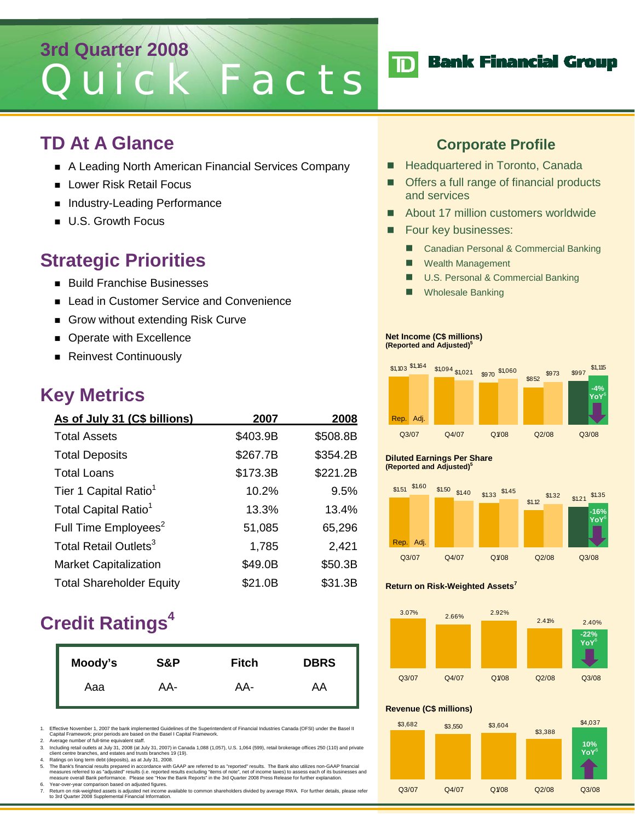## **3rd Quarter 2008** Quick Facts

## **TD At A Glance**

- A Leading North American Financial Services Company
- **Lower Risk Retail Focus**
- Industry-Leading Performance
- **U.S. Growth Focus**

## **Strategic Priorities**

- **Build Franchise Businesses**
- Lead in Customer Service and Convenience
- Grow without extending Risk Curve
- **Derate with Excellence**
- Reinvest Continuously

## **Key Metrics**

| As of July 31 (C\$ billions)      | 2007     | 2008     |
|-----------------------------------|----------|----------|
| <b>Total Assets</b>               | \$403.9B | \$508.8B |
| <b>Total Deposits</b>             | \$267.7B | \$354.2B |
| <b>Total Loans</b>                | \$173.3B | \$221.2B |
| Tier 1 Capital Ratio <sup>1</sup> | 10.2%    | 9.5%     |
| Total Capital Ratio <sup>1</sup>  | 13.3%    | 13.4%    |
| Full Time Employees <sup>2</sup>  | 51,085   | 65,296   |
| Total Retail Outlets <sup>3</sup> | 1,785    | 2,421    |
| <b>Market Capitalization</b>      | \$49.0B  | \$50.3B  |
| <b>Total Shareholder Equity</b>   | \$21.0B  | \$31.3B  |

## **Credit Ratings4**

| Moody's | S&P | <b>Fitch</b> | <b>DBRS</b> |
|---------|-----|--------------|-------------|
| Aaa     | AA- | AA-          | AA          |

1. Effective November 1, 2007 the bank implemented Guidelines of the Superintendent of Financial Industries Canada (OFSI) under the Basel II Capital Framework; prior periods are based on the Basel I Capital Framework.

2. Average number of full-time equivalent staff.

3. Including retail outlets at July 31, 2008 (at July 31, 2007) in Canada 1,088 (1,057), U.S. 1,064 (599), retail brokerage offices 250 (110) and private client centre branches, and estates and trusts branches 19 (19).

4. Ratings on long term debt (deposits), as at July 31, 2008.<br>The Bank's financial results prepared in accordance with GAAP are referred to as "reported" results. The Bank also utilizes non-GAAP financial<br>measures referred 6. Year-over-year comparison based on adjusted figures.

7. Return on risk-weighted assets is adjusted net income available to common shareholders divided by average RWA. For further details, please refer to 3rd Quarter 2008 Supplemental Financial Information.

### **Corporate Profile**

- **Headquartered in Toronto, Canada**
- Offers a full range of financial products and services
- About 17 million customers worldwide
- **Four key businesses:** 
	- Canadian Personal & Commercial Banking
	- **Nealth Management**
	- U.S. Personal & Commercial Banking
	- Wholesale Banking

#### **Net Income (C\$ millions) (Reported and Adjusted)5**



#### **Diluted Earnings Per Share (Reported and Adjusted)5**



#### **Return on Risk-Weighted Assets7**



#### **Revenue (C\$ millions)**



## **TD** Bank Financial Group